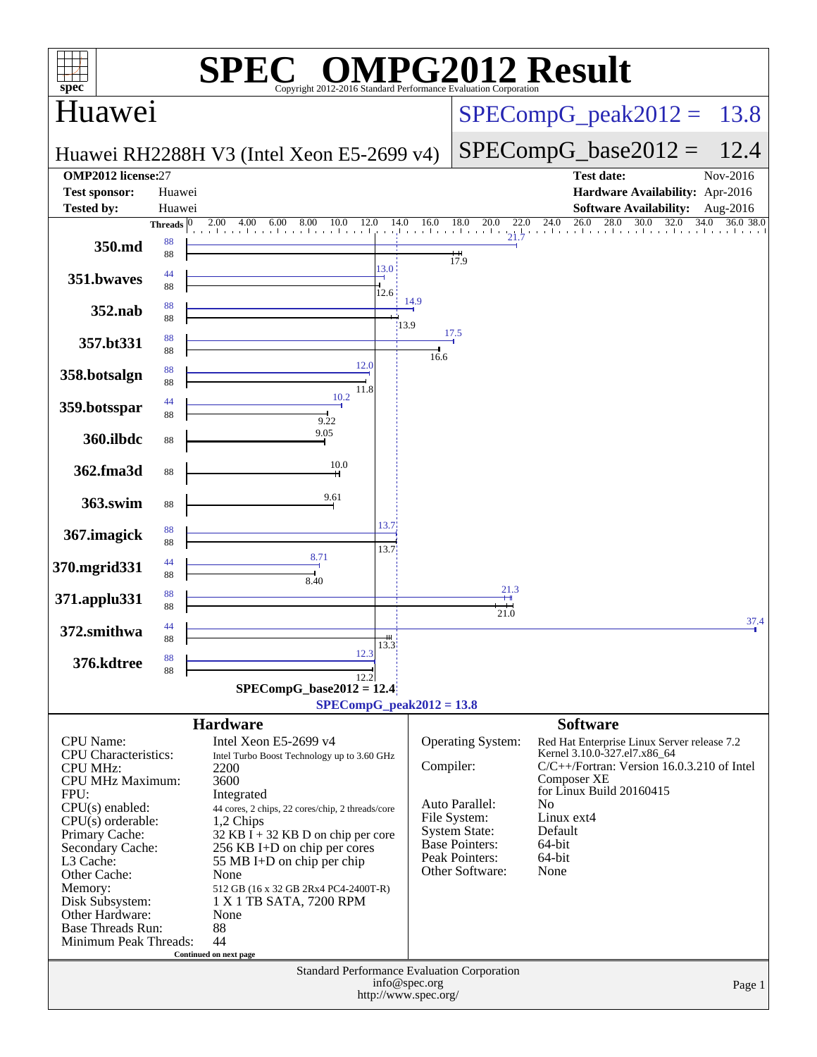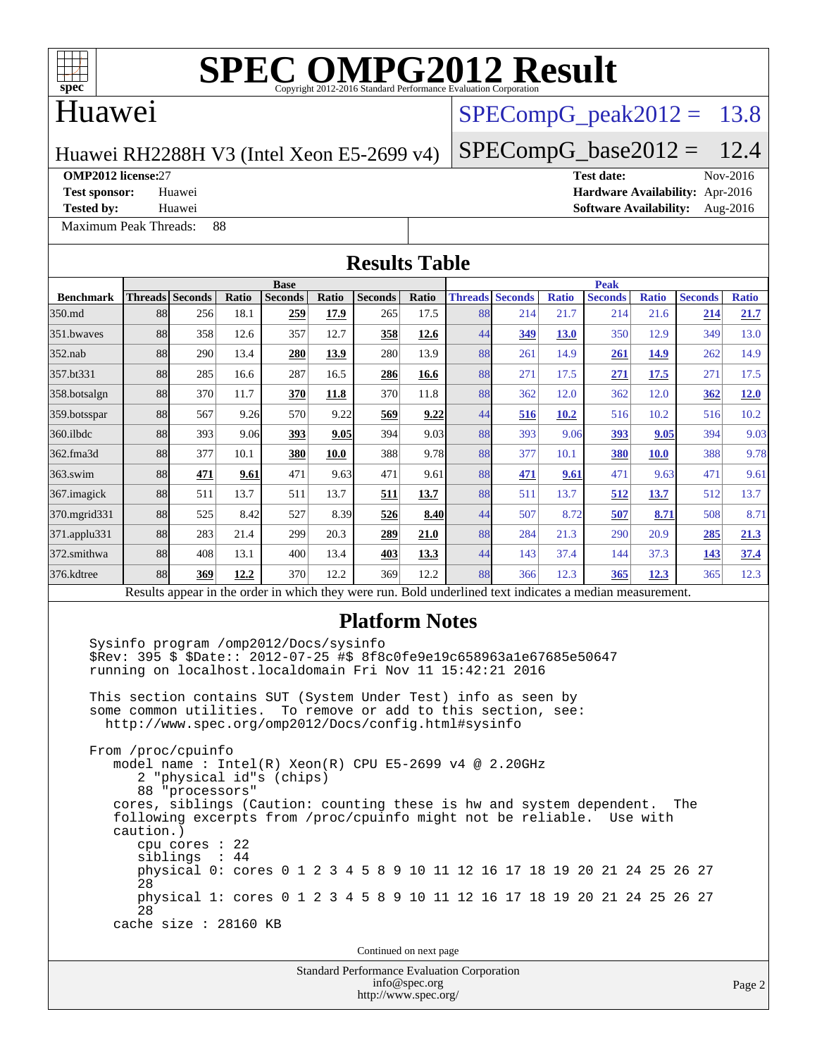

### Huawei

### $SPECompG<sub>peak2012</sub> = 13.8$

 $SPECompG_base2012 = 12.4$  $SPECompG_base2012 = 12.4$ 

#### Huawei RH2288H V3 (Intel Xeon E5-2699 v4)

[Maximum Peak Threads:](http://www.spec.org/auto/omp2012/Docs/result-fields.html#MaximumPeakThreads) 88

**[OMP2012 license:](http://www.spec.org/auto/omp2012/Docs/result-fields.html#OMP2012license)**27 **[Test date:](http://www.spec.org/auto/omp2012/Docs/result-fields.html#Testdate)** Nov-2016 **[Test sponsor:](http://www.spec.org/auto/omp2012/Docs/result-fields.html#Testsponsor)** Huawei **[Hardware Availability:](http://www.spec.org/auto/omp2012/Docs/result-fields.html#HardwareAvailability)** Apr-2016 **[Tested by:](http://www.spec.org/auto/omp2012/Docs/result-fields.html#Testedby)** Huawei **[Software Availability:](http://www.spec.org/auto/omp2012/Docs/result-fields.html#SoftwareAvailability)** Aug-2016

**[Results Table](http://www.spec.org/auto/omp2012/Docs/result-fields.html#ResultsTable) [Benchmark](http://www.spec.org/auto/omp2012/Docs/result-fields.html#Benchmark) [Threads](http://www.spec.org/auto/omp2012/Docs/result-fields.html#Threads) [Seconds](http://www.spec.org/auto/omp2012/Docs/result-fields.html#Seconds) [Ratio](http://www.spec.org/auto/omp2012/Docs/result-fields.html#Ratio) [Seconds](http://www.spec.org/auto/omp2012/Docs/result-fields.html#Seconds) [Ratio](http://www.spec.org/auto/omp2012/Docs/result-fields.html#Ratio) [Seconds](http://www.spec.org/auto/omp2012/Docs/result-fields.html#Seconds) [Ratio](http://www.spec.org/auto/omp2012/Docs/result-fields.html#Ratio) Base [Threads](http://www.spec.org/auto/omp2012/Docs/result-fields.html#Threads) [Seconds](http://www.spec.org/auto/omp2012/Docs/result-fields.html#Seconds) [Ratio](http://www.spec.org/auto/omp2012/Docs/result-fields.html#Ratio) [Seconds](http://www.spec.org/auto/omp2012/Docs/result-fields.html#Seconds) [Ratio](http://www.spec.org/auto/omp2012/Docs/result-fields.html#Ratio) [Seconds](http://www.spec.org/auto/omp2012/Docs/result-fields.html#Seconds) [Ratio](http://www.spec.org/auto/omp2012/Docs/result-fields.html#Ratio) Peak** [350.md](http://www.spec.org/auto/omp2012/Docs/350.md.html) 88 256 18.1 **[259](http://www.spec.org/auto/omp2012/Docs/result-fields.html#Median) [17.9](http://www.spec.org/auto/omp2012/Docs/result-fields.html#Median)** 265 17.5 88 214 21.7 214 21.6 **[214](http://www.spec.org/auto/omp2012/Docs/result-fields.html#Median) [21.7](http://www.spec.org/auto/omp2012/Docs/result-fields.html#Median)** [351.bwaves](http://www.spec.org/auto/omp2012/Docs/351.bwaves.html) 88 358 12.6 357 12.7 **[358](http://www.spec.org/auto/omp2012/Docs/result-fields.html#Median) [12.6](http://www.spec.org/auto/omp2012/Docs/result-fields.html#Median)** 44 **[349](http://www.spec.org/auto/omp2012/Docs/result-fields.html#Median) [13.0](http://www.spec.org/auto/omp2012/Docs/result-fields.html#Median)** 350 12.9 349 13.0 [352.nab](http://www.spec.org/auto/omp2012/Docs/352.nab.html) 88 290 13.4 **[280](http://www.spec.org/auto/omp2012/Docs/result-fields.html#Median) [13.9](http://www.spec.org/auto/omp2012/Docs/result-fields.html#Median)** 280 13.9 88 261 14.9 **[261](http://www.spec.org/auto/omp2012/Docs/result-fields.html#Median) [14.9](http://www.spec.org/auto/omp2012/Docs/result-fields.html#Median)** 262 14.9 [357.bt331](http://www.spec.org/auto/omp2012/Docs/357.bt331.html) 88 285 16.6 287 16.5 **[286](http://www.spec.org/auto/omp2012/Docs/result-fields.html#Median) [16.6](http://www.spec.org/auto/omp2012/Docs/result-fields.html#Median)** 88 271 17.5 **[271](http://www.spec.org/auto/omp2012/Docs/result-fields.html#Median) [17.5](http://www.spec.org/auto/omp2012/Docs/result-fields.html#Median)** 271 17.5 [358.botsalgn](http://www.spec.org/auto/omp2012/Docs/358.botsalgn.html) 88 370 11.7 **[370](http://www.spec.org/auto/omp2012/Docs/result-fields.html#Median) [11.8](http://www.spec.org/auto/omp2012/Docs/result-fields.html#Median)** 370 11.8 88 362 12.0 362 12.0 **[362](http://www.spec.org/auto/omp2012/Docs/result-fields.html#Median) [12.0](http://www.spec.org/auto/omp2012/Docs/result-fields.html#Median)** [359.botsspar](http://www.spec.org/auto/omp2012/Docs/359.botsspar.html) 88 567 9.26 570 9.22 **[569](http://www.spec.org/auto/omp2012/Docs/result-fields.html#Median) [9.22](http://www.spec.org/auto/omp2012/Docs/result-fields.html#Median)** 44 **[516](http://www.spec.org/auto/omp2012/Docs/result-fields.html#Median) [10.2](http://www.spec.org/auto/omp2012/Docs/result-fields.html#Median)** 516 10.2 516 10.2 [360.ilbdc](http://www.spec.org/auto/omp2012/Docs/360.ilbdc.html) 88 393 9.06 **[393](http://www.spec.org/auto/omp2012/Docs/result-fields.html#Median) [9.05](http://www.spec.org/auto/omp2012/Docs/result-fields.html#Median)** 394 9.03 88 393 9.06 **[393](http://www.spec.org/auto/omp2012/Docs/result-fields.html#Median) [9.05](http://www.spec.org/auto/omp2012/Docs/result-fields.html#Median)** 394 9.03 [362.fma3d](http://www.spec.org/auto/omp2012/Docs/362.fma3d.html) 88 377 10.1 **[380](http://www.spec.org/auto/omp2012/Docs/result-fields.html#Median) [10.0](http://www.spec.org/auto/omp2012/Docs/result-fields.html#Median)** 388 9.78 88 377 10.1 **[380](http://www.spec.org/auto/omp2012/Docs/result-fields.html#Median) [10.0](http://www.spec.org/auto/omp2012/Docs/result-fields.html#Median)** 388 9.78 [363.swim](http://www.spec.org/auto/omp2012/Docs/363.swim.html) 88 **[471](http://www.spec.org/auto/omp2012/Docs/result-fields.html#Median) [9.61](http://www.spec.org/auto/omp2012/Docs/result-fields.html#Median)** 471 9.63 471 9.61 88 **[471](http://www.spec.org/auto/omp2012/Docs/result-fields.html#Median) [9.61](http://www.spec.org/auto/omp2012/Docs/result-fields.html#Median)** 471 9.63 471 9.61 [367.imagick](http://www.spec.org/auto/omp2012/Docs/367.imagick.html) 88 511 13.7 511 13.7 **[511](http://www.spec.org/auto/omp2012/Docs/result-fields.html#Median) [13.7](http://www.spec.org/auto/omp2012/Docs/result-fields.html#Median)** 88 511 13.7 **[512](http://www.spec.org/auto/omp2012/Docs/result-fields.html#Median) [13.7](http://www.spec.org/auto/omp2012/Docs/result-fields.html#Median)** 512 13.7 [370.mgrid331](http://www.spec.org/auto/omp2012/Docs/370.mgrid331.html) 88 525 8.42 527 8.39 **[526](http://www.spec.org/auto/omp2012/Docs/result-fields.html#Median) [8.40](http://www.spec.org/auto/omp2012/Docs/result-fields.html#Median)** 44 507 8.72 **[507](http://www.spec.org/auto/omp2012/Docs/result-fields.html#Median) [8.71](http://www.spec.org/auto/omp2012/Docs/result-fields.html#Median)** 508 8.71 [371.applu331](http://www.spec.org/auto/omp2012/Docs/371.applu331.html) 88 283 21.4 299 20.3 **[289](http://www.spec.org/auto/omp2012/Docs/result-fields.html#Median) [21.0](http://www.spec.org/auto/omp2012/Docs/result-fields.html#Median)** 88 284 21.3 290 20.9 **[285](http://www.spec.org/auto/omp2012/Docs/result-fields.html#Median) [21.3](http://www.spec.org/auto/omp2012/Docs/result-fields.html#Median)** [372.smithwa](http://www.spec.org/auto/omp2012/Docs/372.smithwa.html) 88 408 13.1 400 13.4 **[403](http://www.spec.org/auto/omp2012/Docs/result-fields.html#Median) [13.3](http://www.spec.org/auto/omp2012/Docs/result-fields.html#Median)** 44 143 37.4 144 37.3 **[143](http://www.spec.org/auto/omp2012/Docs/result-fields.html#Median) [37.4](http://www.spec.org/auto/omp2012/Docs/result-fields.html#Median)** [376.kdtree](http://www.spec.org/auto/omp2012/Docs/376.kdtree.html) 88 **[369](http://www.spec.org/auto/omp2012/Docs/result-fields.html#Median) [12.2](http://www.spec.org/auto/omp2012/Docs/result-fields.html#Median)** 370 12.2 369 12.2 88 366 12.3 **[365](http://www.spec.org/auto/omp2012/Docs/result-fields.html#Median) [12.3](http://www.spec.org/auto/omp2012/Docs/result-fields.html#Median)** 365 12.3 Results appear in the [order in which they were run.](http://www.spec.org/auto/omp2012/Docs/result-fields.html#RunOrder) Bold underlined text [indicates a median measurement.](http://www.spec.org/auto/omp2012/Docs/result-fields.html#Median) **[Platform Notes](http://www.spec.org/auto/omp2012/Docs/result-fields.html#PlatformNotes)** Sysinfo program /omp2012/Docs/sysinfo \$Rev: 395 \$ \$Date:: 2012-07-25 #\$ 8f8c0fe9e19c658963a1e67685e50647 running on localhost.localdomain Fri Nov 11 15:42:21 2016 This section contains SUT (System Under Test) info as seen by some common utilities. To remove or add to this section, see: <http://www.spec.org/omp2012/Docs/config.html#sysinfo> From /proc/cpuinfo model name : Intel(R) Xeon(R) CPU E5-2699 v4 @ 2.20GHz 2 "physical id"s (chips) 88 "processors" cores, siblings (Caution: counting these is hw and system dependent. The following excerpts from /proc/cpuinfo might not be reliable. Use with caution.) cpu cores : 22 siblings : 44 physical 0: cores 0 1 2 3 4 5 8 9 10 11 12 16 17 18 19 20 21 24 25 26 27 28

 physical 1: cores 0 1 2 3 4 5 8 9 10 11 12 16 17 18 19 20 21 24 25 26 27  $28$ cache size : 28160 KB

Continued on next page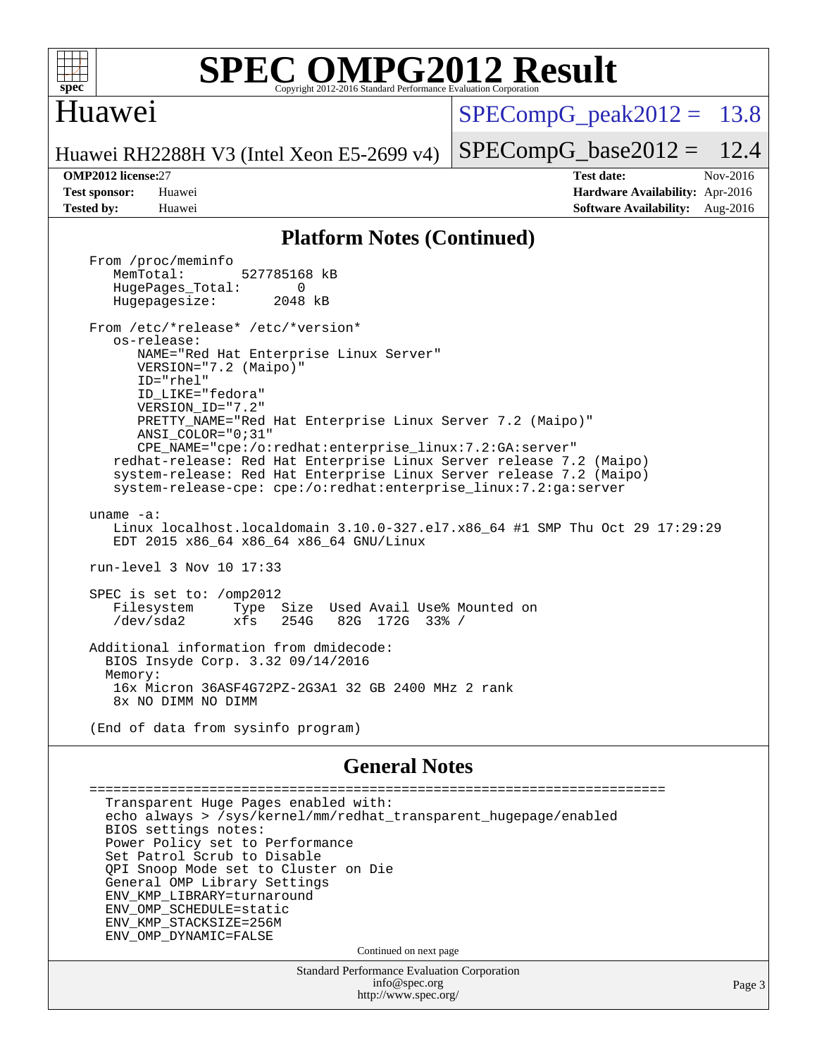

#### **[SPEC OMPG2012 Result](http://www.spec.org/auto/omp2012/Docs/result-fields.html#SPECOMPG2012Result)** Copyright 2012-2016 Standard Performance Evaluation

#### Huawei

 $SPECompG_peak2012 = 13.8$  $SPECompG_peak2012 = 13.8$ 

Huawei RH2288H V3 (Intel Xeon E5-2699 v4)

 $SPECompG_base2012 = 12.4$  $SPECompG_base2012 = 12.4$ 

**[OMP2012 license:](http://www.spec.org/auto/omp2012/Docs/result-fields.html#OMP2012license)**27 **[Test date:](http://www.spec.org/auto/omp2012/Docs/result-fields.html#Testdate)** Nov-2016 **[Test sponsor:](http://www.spec.org/auto/omp2012/Docs/result-fields.html#Testsponsor)** Huawei **[Hardware Availability:](http://www.spec.org/auto/omp2012/Docs/result-fields.html#HardwareAvailability)** Apr-2016 **[Tested by:](http://www.spec.org/auto/omp2012/Docs/result-fields.html#Testedby)** Huawei **[Software Availability:](http://www.spec.org/auto/omp2012/Docs/result-fields.html#SoftwareAvailability)** Aug-2016

#### **[Platform Notes \(Continued\)](http://www.spec.org/auto/omp2012/Docs/result-fields.html#PlatformNotes)**

 From /proc/meminfo MemTotal: 527785168 kB HugePages\_Total: 0<br>Hugepagesize: 2048 kB Hugepagesize: From /etc/\*release\* /etc/\*version\* os-release: NAME="Red Hat Enterprise Linux Server" VERSION="7.2 (Maipo)" ID="rhel" ID\_LIKE="fedora" VERSION\_ID="7.2" PRETTY\_NAME="Red Hat Enterprise Linux Server 7.2 (Maipo)" ANSI\_COLOR="0;31" CPE\_NAME="cpe:/o:redhat:enterprise\_linux:7.2:GA:server" redhat-release: Red Hat Enterprise Linux Server release 7.2 (Maipo) system-release: Red Hat Enterprise Linux Server release 7.2 (Maipo) system-release-cpe: cpe:/o:redhat:enterprise\_linux:7.2:ga:server uname -a: Linux localhost.localdomain 3.10.0-327.el7.x86\_64 #1 SMP Thu Oct 29 17:29:29 EDT 2015 x86\_64 x86\_64 x86\_64 GNU/Linux run-level 3 Nov 10 17:33 SPEC is set to: /omp2012 Filesystem Type Size Used Avail Use% Mounted on /dev/sda2 xfs 254G 82G 172G 33% / Additional information from dmidecode: BIOS Insyde Corp. 3.32 09/14/2016 Memory: 16x Micron 36ASF4G72PZ-2G3A1 32 GB 2400 MHz 2 rank 8x NO DIMM NO DIMM (End of data from sysinfo program) **[General Notes](http://www.spec.org/auto/omp2012/Docs/result-fields.html#GeneralNotes)** ========================================================================

 Transparent Huge Pages enabled with: echo always > /sys/kernel/mm/redhat\_transparent\_hugepage/enabled BIOS settings notes: Power Policy set to Performance Set Patrol Scrub to Disable QPI Snoop Mode set to Cluster on Die General OMP Library Settings ENV\_KMP\_LIBRARY=turnaround ENV\_OMP\_SCHEDULE=static ENV\_KMP\_STACKSIZE=256M ENV\_OMP\_DYNAMIC=FALSE Continued on next page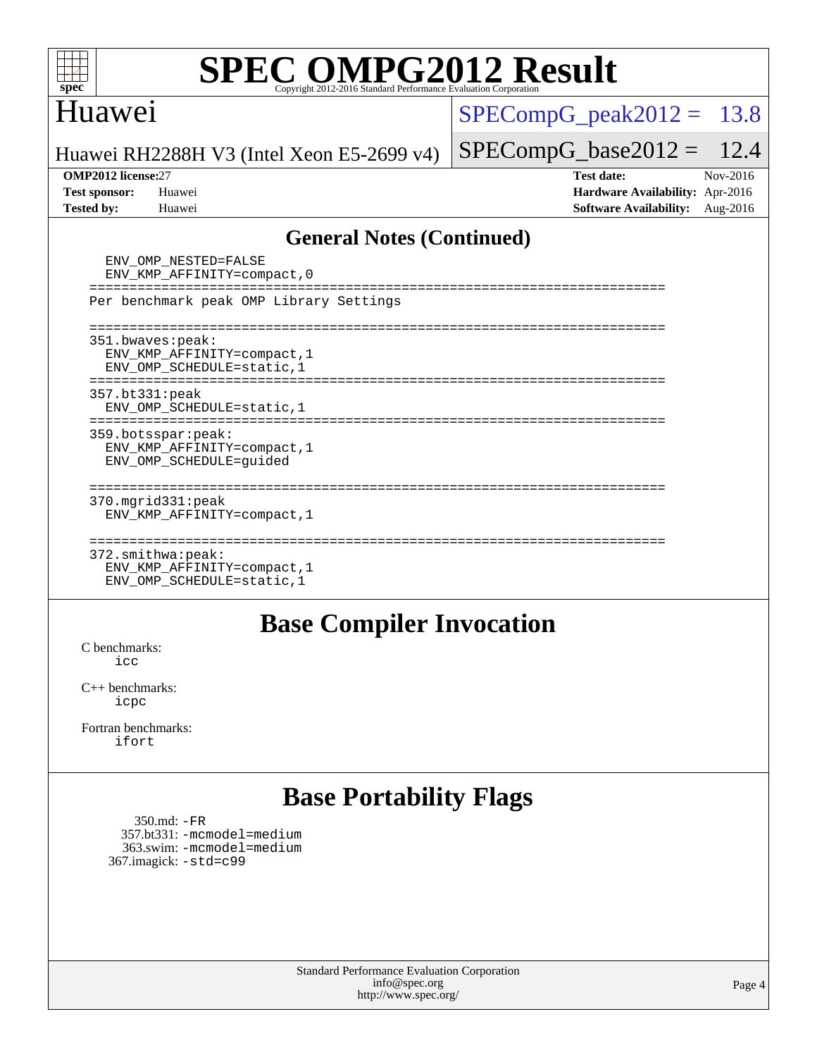

### Huawei

 $SPECompG_peak2012 = 13.8$  $SPECompG_peak2012 = 13.8$ 

Huawei RH2288H V3 (Intel Xeon E5-2699 v4)

#### **[OMP2012 license:](http://www.spec.org/auto/omp2012/Docs/result-fields.html#OMP2012license)**27 **[Test date:](http://www.spec.org/auto/omp2012/Docs/result-fields.html#Testdate)** Nov-2016

 $SPECompG_base2012 = 12.4$  $SPECompG_base2012 = 12.4$ 

**[Test sponsor:](http://www.spec.org/auto/omp2012/Docs/result-fields.html#Testsponsor)** Huawei **[Hardware Availability:](http://www.spec.org/auto/omp2012/Docs/result-fields.html#HardwareAvailability)** Apr-2016 **[Tested by:](http://www.spec.org/auto/omp2012/Docs/result-fields.html#Testedby)** Huawei **[Software Availability:](http://www.spec.org/auto/omp2012/Docs/result-fields.html#SoftwareAvailability)** Aug-2016

#### **[General Notes \(Continued\)](http://www.spec.org/auto/omp2012/Docs/result-fields.html#GeneralNotes)**

| ENV OMP NESTED=FALSE<br>ENV KMP AFFINITY=compact, 0                                     |  |
|-----------------------------------------------------------------------------------------|--|
| Per benchmark peak OMP Library Settings                                                 |  |
| 351.bwaves:peak:<br>ENV KMP AFFINITY=compact, 1<br>ENV OMP SCHEDULE=static, 1           |  |
| 357.bt331:peak<br>ENV OMP SCHEDULE=static, 1                                            |  |
| 359.botsspar:peak:<br>ENV KMP AFFINITY=compact, 1<br>ENV OMP SCHEDULE=quided            |  |
| $370$ . $mqrid331:peak$<br>ENV KMP AFFINITY=compact, 1                                  |  |
| $372.\text{smithwa:peak}:$<br>ENV KMP AFFINITY=compact, 1<br>ENV OMP SCHEDULE=static, 1 |  |

#### **[Base Compiler Invocation](http://www.spec.org/auto/omp2012/Docs/result-fields.html#BaseCompilerInvocation)**

[C benchmarks](http://www.spec.org/auto/omp2012/Docs/result-fields.html#Cbenchmarks): [icc](http://www.spec.org/omp2012/results/res2016q4/omp2012-20161115-00086.flags.html#user_CCbase_intel_icc_a87c68a857bc5ec5362391a49d3a37a6)

[C++ benchmarks:](http://www.spec.org/auto/omp2012/Docs/result-fields.html#CXXbenchmarks) [icpc](http://www.spec.org/omp2012/results/res2016q4/omp2012-20161115-00086.flags.html#user_CXXbase_intel_icpc_2d899f8d163502b12eb4a60069f80c1c)

[Fortran benchmarks](http://www.spec.org/auto/omp2012/Docs/result-fields.html#Fortranbenchmarks): [ifort](http://www.spec.org/omp2012/results/res2016q4/omp2012-20161115-00086.flags.html#user_FCbase_intel_ifort_8a5e5e06b19a251bdeaf8fdab5d62f20)

### **[Base Portability Flags](http://www.spec.org/auto/omp2012/Docs/result-fields.html#BasePortabilityFlags)**

 350.md: [-FR](http://www.spec.org/omp2012/results/res2016q4/omp2012-20161115-00086.flags.html#user_baseFPORTABILITY350_md_f-FR) 357.bt331: [-mcmodel=medium](http://www.spec.org/omp2012/results/res2016q4/omp2012-20161115-00086.flags.html#user_basePORTABILITY357_bt331_f-mcmodel_3a41622424bdd074c4f0f2d2f224c7e5) 363.swim: [-mcmodel=medium](http://www.spec.org/omp2012/results/res2016q4/omp2012-20161115-00086.flags.html#user_basePORTABILITY363_swim_f-mcmodel_3a41622424bdd074c4f0f2d2f224c7e5) 367.imagick: [-std=c99](http://www.spec.org/omp2012/results/res2016q4/omp2012-20161115-00086.flags.html#user_baseCPORTABILITY367_imagick_f-std_2ec6533b6e06f1c4a6c9b78d9e9cde24)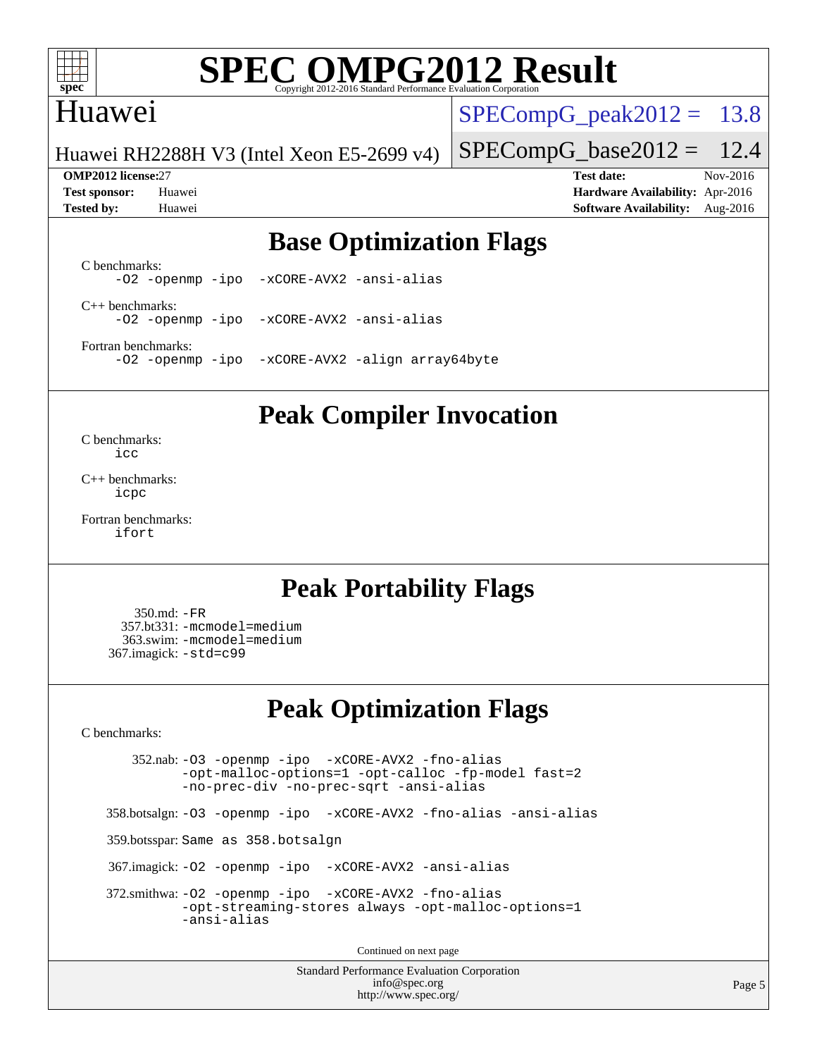

## Huawei

 $SPECompG<sub>peak2012</sub> = 13.8$ 

Huawei RH2288H V3 (Intel Xeon E5-2699 v4)

 $SPECompG_base2012 = 12.4$  $SPECompG_base2012 = 12.4$ **[OMP2012 license:](http://www.spec.org/auto/omp2012/Docs/result-fields.html#OMP2012license)**27 **[Test date:](http://www.spec.org/auto/omp2012/Docs/result-fields.html#Testdate)** Nov-2016

**[Test sponsor:](http://www.spec.org/auto/omp2012/Docs/result-fields.html#Testsponsor)** Huawei **[Hardware Availability:](http://www.spec.org/auto/omp2012/Docs/result-fields.html#HardwareAvailability)** Apr-2016 **[Tested by:](http://www.spec.org/auto/omp2012/Docs/result-fields.html#Testedby)** Huawei **[Software Availability:](http://www.spec.org/auto/omp2012/Docs/result-fields.html#SoftwareAvailability)** Aug-2016

## **[Base Optimization Flags](http://www.spec.org/auto/omp2012/Docs/result-fields.html#BaseOptimizationFlags)**

[C benchmarks](http://www.spec.org/auto/omp2012/Docs/result-fields.html#Cbenchmarks): [-O2](http://www.spec.org/omp2012/results/res2016q4/omp2012-20161115-00086.flags.html#user_CCbase_f-O2) [-openmp](http://www.spec.org/omp2012/results/res2016q4/omp2012-20161115-00086.flags.html#user_CCbase_f-openmp) [-ipo](http://www.spec.org/omp2012/results/res2016q4/omp2012-20161115-00086.flags.html#user_CCbase_f-ipo_84062ab53814f613187d02344b8f49a7) [-xCORE-AVX2](http://www.spec.org/omp2012/results/res2016q4/omp2012-20161115-00086.flags.html#user_CCbase_f-xCORE-AVX2) [-ansi-alias](http://www.spec.org/omp2012/results/res2016q4/omp2012-20161115-00086.flags.html#user_CCbase_f-ansi-alias)

[C++ benchmarks:](http://www.spec.org/auto/omp2012/Docs/result-fields.html#CXXbenchmarks) [-O2](http://www.spec.org/omp2012/results/res2016q4/omp2012-20161115-00086.flags.html#user_CXXbase_f-O2) [-openmp](http://www.spec.org/omp2012/results/res2016q4/omp2012-20161115-00086.flags.html#user_CXXbase_f-openmp) [-ipo](http://www.spec.org/omp2012/results/res2016q4/omp2012-20161115-00086.flags.html#user_CXXbase_f-ipo_84062ab53814f613187d02344b8f49a7) [-xCORE-AVX2](http://www.spec.org/omp2012/results/res2016q4/omp2012-20161115-00086.flags.html#user_CXXbase_f-xCORE-AVX2) [-ansi-alias](http://www.spec.org/omp2012/results/res2016q4/omp2012-20161115-00086.flags.html#user_CXXbase_f-ansi-alias)

[Fortran benchmarks](http://www.spec.org/auto/omp2012/Docs/result-fields.html#Fortranbenchmarks): [-O2](http://www.spec.org/omp2012/results/res2016q4/omp2012-20161115-00086.flags.html#user_FCbase_f-O2) [-openmp](http://www.spec.org/omp2012/results/res2016q4/omp2012-20161115-00086.flags.html#user_FCbase_f-openmp) [-ipo](http://www.spec.org/omp2012/results/res2016q4/omp2012-20161115-00086.flags.html#user_FCbase_f-ipo_84062ab53814f613187d02344b8f49a7) [-xCORE-AVX2](http://www.spec.org/omp2012/results/res2016q4/omp2012-20161115-00086.flags.html#user_FCbase_f-xCORE-AVX2) [-align array64byte](http://www.spec.org/omp2012/results/res2016q4/omp2012-20161115-00086.flags.html#user_FCbase_f-align_c9377f996e966d652baaf753401d4725)

### **[Peak Compiler Invocation](http://www.spec.org/auto/omp2012/Docs/result-fields.html#PeakCompilerInvocation)**

[C benchmarks](http://www.spec.org/auto/omp2012/Docs/result-fields.html#Cbenchmarks): [icc](http://www.spec.org/omp2012/results/res2016q4/omp2012-20161115-00086.flags.html#user_CCpeak_intel_icc_a87c68a857bc5ec5362391a49d3a37a6)

[C++ benchmarks:](http://www.spec.org/auto/omp2012/Docs/result-fields.html#CXXbenchmarks) [icpc](http://www.spec.org/omp2012/results/res2016q4/omp2012-20161115-00086.flags.html#user_CXXpeak_intel_icpc_2d899f8d163502b12eb4a60069f80c1c)

[Fortran benchmarks](http://www.spec.org/auto/omp2012/Docs/result-fields.html#Fortranbenchmarks): [ifort](http://www.spec.org/omp2012/results/res2016q4/omp2012-20161115-00086.flags.html#user_FCpeak_intel_ifort_8a5e5e06b19a251bdeaf8fdab5d62f20)

## **[Peak Portability Flags](http://www.spec.org/auto/omp2012/Docs/result-fields.html#PeakPortabilityFlags)**

 350.md: [-FR](http://www.spec.org/omp2012/results/res2016q4/omp2012-20161115-00086.flags.html#user_peakFPORTABILITY350_md_f-FR) 357.bt331: [-mcmodel=medium](http://www.spec.org/omp2012/results/res2016q4/omp2012-20161115-00086.flags.html#user_peakPORTABILITY357_bt331_f-mcmodel_3a41622424bdd074c4f0f2d2f224c7e5) 363.swim: [-mcmodel=medium](http://www.spec.org/omp2012/results/res2016q4/omp2012-20161115-00086.flags.html#user_peakPORTABILITY363_swim_f-mcmodel_3a41622424bdd074c4f0f2d2f224c7e5) 367.imagick: [-std=c99](http://www.spec.org/omp2012/results/res2016q4/omp2012-20161115-00086.flags.html#user_peakCPORTABILITY367_imagick_f-std_2ec6533b6e06f1c4a6c9b78d9e9cde24)

## **[Peak Optimization Flags](http://www.spec.org/auto/omp2012/Docs/result-fields.html#PeakOptimizationFlags)**

[C benchmarks](http://www.spec.org/auto/omp2012/Docs/result-fields.html#Cbenchmarks):

 352.nab: [-O3](http://www.spec.org/omp2012/results/res2016q4/omp2012-20161115-00086.flags.html#user_peakOPTIMIZE352_nab_f-O3) [-openmp](http://www.spec.org/omp2012/results/res2016q4/omp2012-20161115-00086.flags.html#user_peakOPTIMIZE352_nab_f-openmp) [-ipo](http://www.spec.org/omp2012/results/res2016q4/omp2012-20161115-00086.flags.html#user_peakOPTIMIZE352_nab_f-ipo_84062ab53814f613187d02344b8f49a7) [-xCORE-AVX2](http://www.spec.org/omp2012/results/res2016q4/omp2012-20161115-00086.flags.html#user_peakOPTIMIZE352_nab_f-xCORE-AVX2) [-fno-alias](http://www.spec.org/omp2012/results/res2016q4/omp2012-20161115-00086.flags.html#user_peakOPTIMIZE352_nab_f-no-alias_694e77f6c5a51e658e82ccff53a9e63a) [-opt-malloc-options=1](http://www.spec.org/omp2012/results/res2016q4/omp2012-20161115-00086.flags.html#user_peakOPTIMIZE352_nab_f-opt-malloc-options_d882ffc6ff87e51efe45f9a5190004b0) [-opt-calloc](http://www.spec.org/omp2012/results/res2016q4/omp2012-20161115-00086.flags.html#user_peakOPTIMIZE352_nab_f-opt-calloc) [-fp-model fast=2](http://www.spec.org/omp2012/results/res2016q4/omp2012-20161115-00086.flags.html#user_peakOPTIMIZE352_nab_f-fp-model_a7fb8ccb7275e23f0079632c153cfcab) [-no-prec-div](http://www.spec.org/omp2012/results/res2016q4/omp2012-20161115-00086.flags.html#user_peakOPTIMIZE352_nab_f-no-prec-div) [-no-prec-sqrt](http://www.spec.org/omp2012/results/res2016q4/omp2012-20161115-00086.flags.html#user_peakOPTIMIZE352_nab_f-no-prec-sqrt) [-ansi-alias](http://www.spec.org/omp2012/results/res2016q4/omp2012-20161115-00086.flags.html#user_peakCOPTIMIZE352_nab_f-ansi-alias)

358.botsalgn: [-O3](http://www.spec.org/omp2012/results/res2016q4/omp2012-20161115-00086.flags.html#user_peakOPTIMIZE358_botsalgn_f-O3) [-openmp](http://www.spec.org/omp2012/results/res2016q4/omp2012-20161115-00086.flags.html#user_peakOPTIMIZE358_botsalgn_f-openmp) [-ipo](http://www.spec.org/omp2012/results/res2016q4/omp2012-20161115-00086.flags.html#user_peakOPTIMIZE358_botsalgn_f-ipo_84062ab53814f613187d02344b8f49a7) [-xCORE-AVX2](http://www.spec.org/omp2012/results/res2016q4/omp2012-20161115-00086.flags.html#user_peakOPTIMIZE358_botsalgn_f-xCORE-AVX2) [-fno-alias](http://www.spec.org/omp2012/results/res2016q4/omp2012-20161115-00086.flags.html#user_peakOPTIMIZE358_botsalgn_f-no-alias_694e77f6c5a51e658e82ccff53a9e63a) [-ansi-alias](http://www.spec.org/omp2012/results/res2016q4/omp2012-20161115-00086.flags.html#user_peakCOPTIMIZE358_botsalgn_f-ansi-alias)

359.botsspar: Same as 358.botsalgn

367.imagick: [-O2](http://www.spec.org/omp2012/results/res2016q4/omp2012-20161115-00086.flags.html#user_peakOPTIMIZE367_imagick_f-O2) [-openmp](http://www.spec.org/omp2012/results/res2016q4/omp2012-20161115-00086.flags.html#user_peakOPTIMIZE367_imagick_f-openmp) [-ipo](http://www.spec.org/omp2012/results/res2016q4/omp2012-20161115-00086.flags.html#user_peakOPTIMIZE367_imagick_f-ipo_84062ab53814f613187d02344b8f49a7) [-xCORE-AVX2](http://www.spec.org/omp2012/results/res2016q4/omp2012-20161115-00086.flags.html#user_peakOPTIMIZE367_imagick_f-xCORE-AVX2) [-ansi-alias](http://www.spec.org/omp2012/results/res2016q4/omp2012-20161115-00086.flags.html#user_peakCOPTIMIZE367_imagick_f-ansi-alias)

 372.smithwa: [-O2](http://www.spec.org/omp2012/results/res2016q4/omp2012-20161115-00086.flags.html#user_peakOPTIMIZE372_smithwa_f-O2) [-openmp](http://www.spec.org/omp2012/results/res2016q4/omp2012-20161115-00086.flags.html#user_peakOPTIMIZE372_smithwa_f-openmp) [-ipo](http://www.spec.org/omp2012/results/res2016q4/omp2012-20161115-00086.flags.html#user_peakOPTIMIZE372_smithwa_f-ipo_84062ab53814f613187d02344b8f49a7) [-xCORE-AVX2](http://www.spec.org/omp2012/results/res2016q4/omp2012-20161115-00086.flags.html#user_peakOPTIMIZE372_smithwa_f-xCORE-AVX2) [-fno-alias](http://www.spec.org/omp2012/results/res2016q4/omp2012-20161115-00086.flags.html#user_peakOPTIMIZE372_smithwa_f-no-alias_694e77f6c5a51e658e82ccff53a9e63a) [-opt-streaming-stores always](http://www.spec.org/omp2012/results/res2016q4/omp2012-20161115-00086.flags.html#user_peakOPTIMIZE372_smithwa_f-opt-streaming-stores-always_66f55dbc532842151ebc4c82f4f5b019) [-opt-malloc-options=1](http://www.spec.org/omp2012/results/res2016q4/omp2012-20161115-00086.flags.html#user_peakOPTIMIZE372_smithwa_f-opt-malloc-options_d882ffc6ff87e51efe45f9a5190004b0) [-ansi-alias](http://www.spec.org/omp2012/results/res2016q4/omp2012-20161115-00086.flags.html#user_peakCOPTIMIZE372_smithwa_f-ansi-alias)

Continued on next page